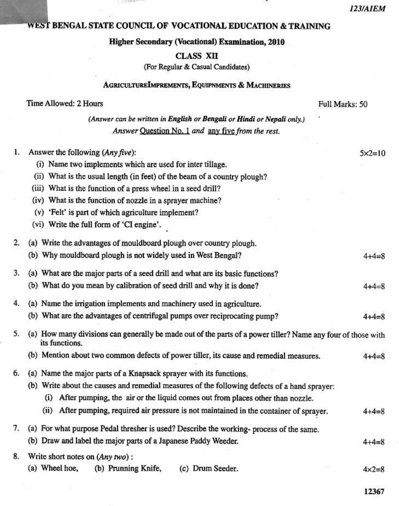### WEST BENGAL STATE COUNCIL OF VOCATIONAL EDUCATION & TRAINING

## **Higher Secondary (Vocational) Examination, 2010**

#### **CLASS XII**

(For Regular & Casual Candidates)

## AGRICULTUREIMPREMENTS, EQUIPNMENTS & MACHINERIES

|    | Time Allowed: 2 Hours                                                                                                          | Full Marks: 50    |
|----|--------------------------------------------------------------------------------------------------------------------------------|-------------------|
|    | (Answer can be written in English or Bengali or Hindi or Nepali only.)                                                         |                   |
|    | Answer Question No. 1 and any five from the rest.                                                                              |                   |
| 1. | Answer the following (Any five):                                                                                               | $5 \times 2 = 10$ |
|    | (i) Name two implements which are used for inter tillage.                                                                      |                   |
|    | (ii) What is the usual length (in feet) of the beam of a country plough?                                                       |                   |
|    | (iii) What is the function of a press wheel in a seed drill?                                                                   |                   |
|    | (iv) What is the function of nozzle in a sprayer machine?                                                                      |                   |
|    | (v) 'Felt' is part of which agriculture implement?                                                                             |                   |
|    | (vi) Write the full form of 'CI engine'.                                                                                       |                   |
| 2. | (a) Write the advantages of mouldboard plough over country plough.                                                             |                   |
|    | (b) Why mouldboard plough is not widely used in West Bengal?                                                                   | $4 + 4 = 8$       |
| 3. | (a) What are the major parts of a seed drill and what are its basic functions?                                                 |                   |
|    | (b) What do you mean by calibration of seed drill and why it is done?                                                          | $4 + 4 = 8$       |
| 4. | (a) Name the irrigation implements and machinery used in agriculture.                                                          |                   |
|    | (b) What are the advantages of centrifugal pumps over reciprocating pump?                                                      | $4 + 4 = 8$       |
| 5. | (a) How many divisions can generally be made out of the parts of a power tiller? Name any four of those with<br>its functions. |                   |
|    | (b) Mention about two common defects of power tiller, its cause and remedial measures.                                         | $4 + 4 = 8$       |
| б. | (a) Name the major parts of a Knapsack sprayer with its functions.                                                             |                   |
|    | (b) Write about the causes and remedial measures of the following defects of a hand sprayer:                                   |                   |
|    | (i) After pumping, the air or the liquid comes out from places other than nozzle.                                              |                   |
|    | After pumping, required air pressure is not maintained in the container of sprayer.<br>(ii)                                    | $4 + 4 = 8$       |
|    | 7. (a) For what purpose Pedal thresher is used? Describe the working-process of the same.                                      |                   |
|    | (b) Draw and label the major parts of a Japanese Paddy Weeder.                                                                 | $4 + 4 = 8$       |
|    | 8. Write short notes on (Any two):                                                                                             |                   |
|    |                                                                                                                                |                   |

(a) Wheel hoe, (b) Prunning Knife, (c) Drum Seeder.  $4 \times 2 = 8$ 

12367